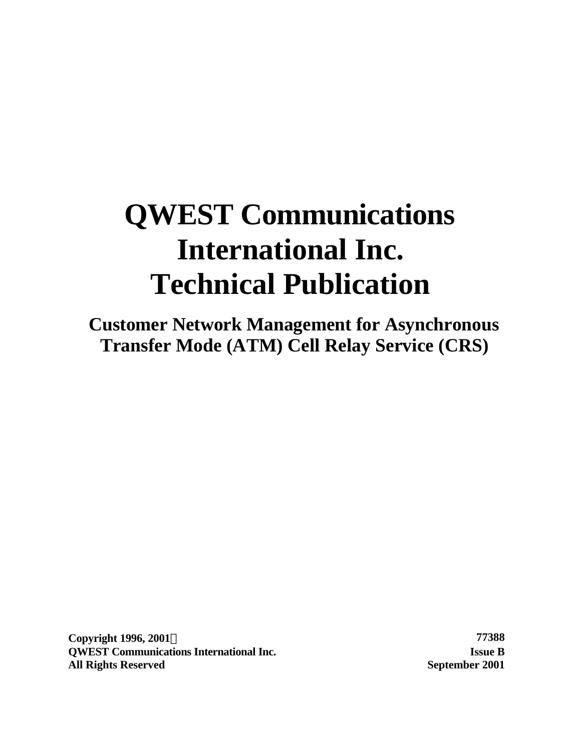# **QWEST Communications International Inc. Technical Publication**

**Customer Network Management for Asynchronous Transfer Mode (ATM) Cell Relay Service (CRS)**

**Copyright 1996, 2001Ó 77388 QWEST Communications International Inc. Issue B All Rights Reserved September 2001**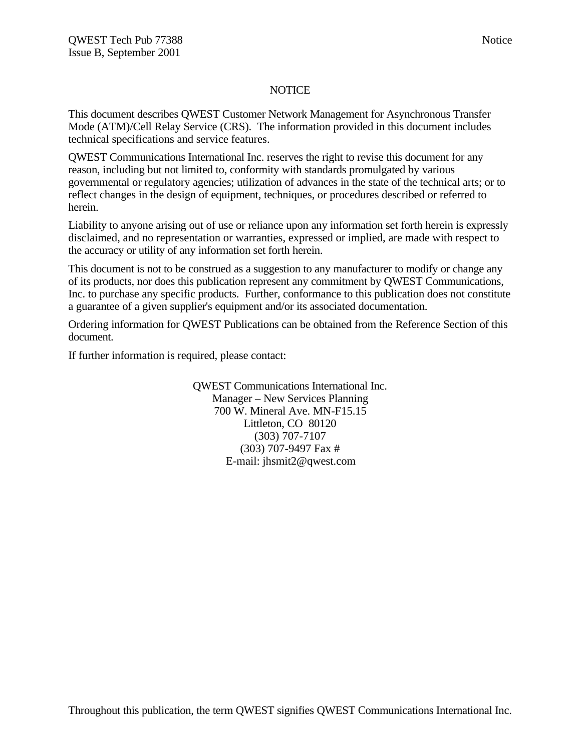#### **NOTICE**

This document describes QWEST Customer Network Management for Asynchronous Transfer Mode (ATM)/Cell Relay Service (CRS). The information provided in this document includes technical specifications and service features.

QWEST Communications International Inc. reserves the right to revise this document for any reason, including but not limited to, conformity with standards promulgated by various governmental or regulatory agencies; utilization of advances in the state of the technical arts; or to reflect changes in the design of equipment, techniques, or procedures described or referred to herein.

Liability to anyone arising out of use or reliance upon any information set forth herein is expressly disclaimed, and no representation or warranties, expressed or implied, are made with respect to the accuracy or utility of any information set forth herein.

This document is not to be construed as a suggestion to any manufacturer to modify or change any of its products, nor does this publication represent any commitment by QWEST Communications, Inc. to purchase any specific products. Further, conformance to this publication does not constitute a guarantee of a given supplier's equipment and/or its associated documentation.

Ordering information for QWEST Publications can be obtained from the Reference Section of this document.

If further information is required, please contact:

QWEST Communications International Inc. Manager – New Services Planning 700 W. Mineral Ave. MN-F15.15 Littleton, CO 80120 (303) 707-7107 (303) 707-9497 Fax # E-mail: jhsmit2@qwest.com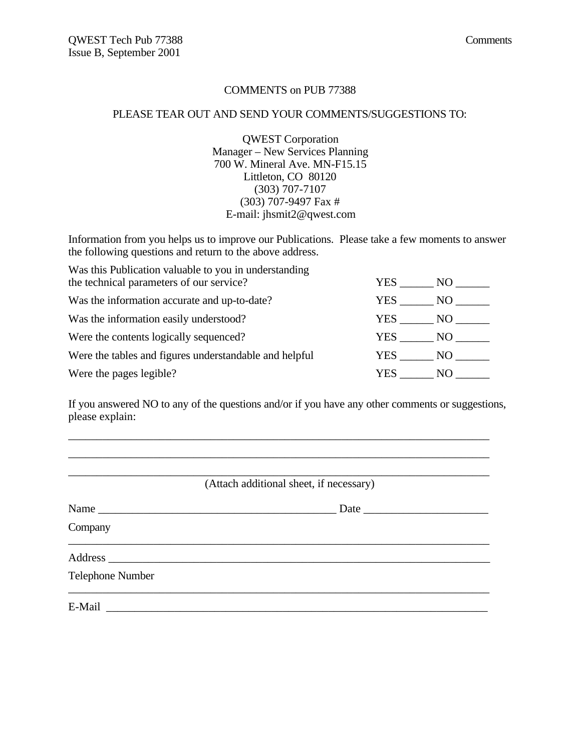#### COMMENTS on PUB 77388

#### PLEASE TEAR OUT AND SEND YOUR COMMENTS/SUGGESTIONS TO:

QWEST Corporation Manager – New Services Planning 700 W. Mineral Ave. MN-F15.15 Littleton, CO 80120 (303) 707-7107 (303) 707-9497 Fax # E-mail: jhsmit2@qwest.com

Information from you helps us to improve our Publications. Please take a few moments to answer the following questions and return to the above address.

| Was this Publication valuable to you in understanding<br>the technical parameters of our service? | YES .  | NO -  |
|---------------------------------------------------------------------------------------------------|--------|-------|
| Was the information accurate and up-to-date?                                                      | YES .  | NO.   |
| Was the information easily understood?                                                            | YES    | NO    |
| Were the contents logically sequenced?                                                            | YES    | NO 11 |
| Were the tables and figures understandable and helpful                                            | YES NO |       |
| Were the pages legible?                                                                           | YES.   | NO.   |

If you answered NO to any of the questions and/or if you have any other comments or suggestions, please explain:

\_\_\_\_\_\_\_\_\_\_\_\_\_\_\_\_\_\_\_\_\_\_\_\_\_\_\_\_\_\_\_\_\_\_\_\_\_\_\_\_\_\_\_\_\_\_\_\_\_\_\_\_\_\_\_\_\_\_\_\_\_\_\_\_\_\_\_\_\_\_\_\_\_\_

|                         | (Attach additional sheet, if necessary) |
|-------------------------|-----------------------------------------|
|                         | Date                                    |
| Company                 |                                         |
|                         |                                         |
| <b>Telephone Number</b> |                                         |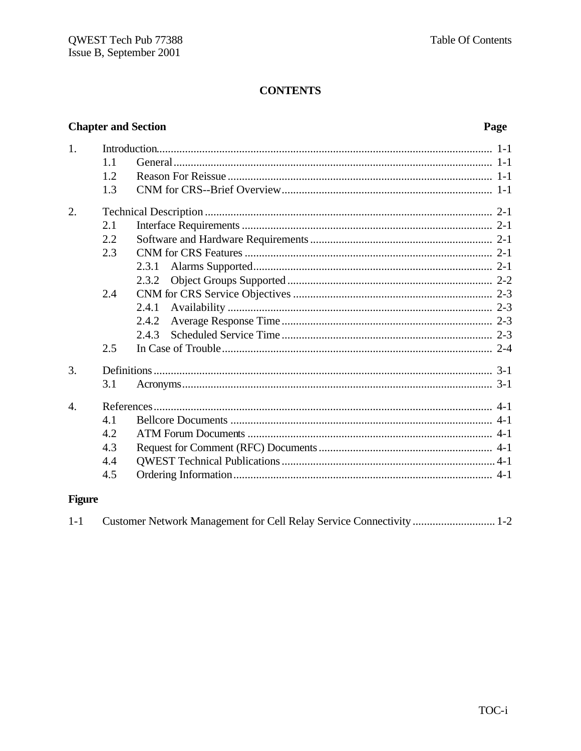# **Chapter and Section**

# Page

| 1.             | 1.1<br>1.2<br>1.3 |       |  |
|----------------|-------------------|-------|--|
| 2.             |                   |       |  |
|                | 2.1               |       |  |
|                | 2.2               |       |  |
|                | 2.3               |       |  |
|                |                   | 2.3.1 |  |
|                |                   | 2.3.2 |  |
|                | 2.4               |       |  |
|                |                   | 2.4.1 |  |
|                |                   | 2.4.2 |  |
|                |                   | 2.4.3 |  |
|                | 2.5               |       |  |
| 3.             |                   |       |  |
|                | 3.1               |       |  |
| $\overline{4}$ |                   |       |  |
|                | 4.1               |       |  |
|                | 4.2               |       |  |
|                | 4.3               |       |  |
|                | 4.4               |       |  |
|                | 4.5               |       |  |

# **Figure**

| $1-1$ |  |
|-------|--|
|       |  |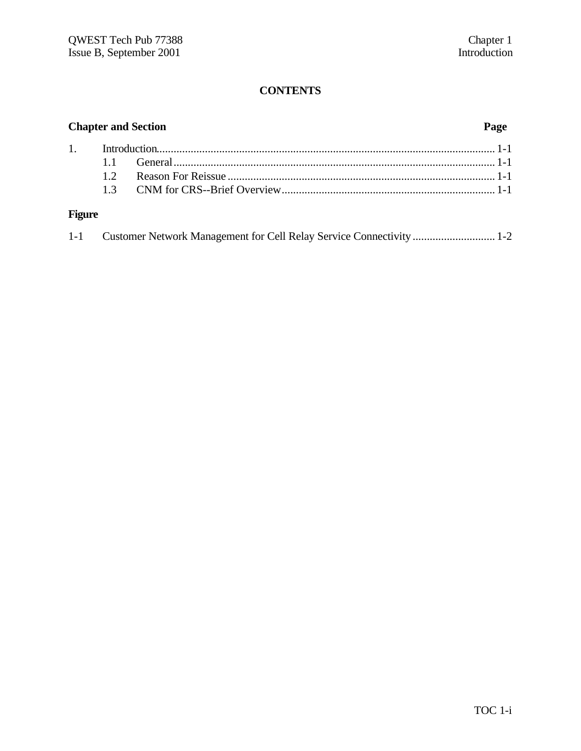| <b>Chapter and Section</b> |    |  |  |
|----------------------------|----|--|--|
|                            |    |  |  |
|                            | 11 |  |  |
|                            | 12 |  |  |
|                            |    |  |  |
| <b>Figure</b>              |    |  |  |

| $1 - 1$ | Customer Network Management for Cell Relay Service Connectivity  1-2 |  |  |
|---------|----------------------------------------------------------------------|--|--|
|---------|----------------------------------------------------------------------|--|--|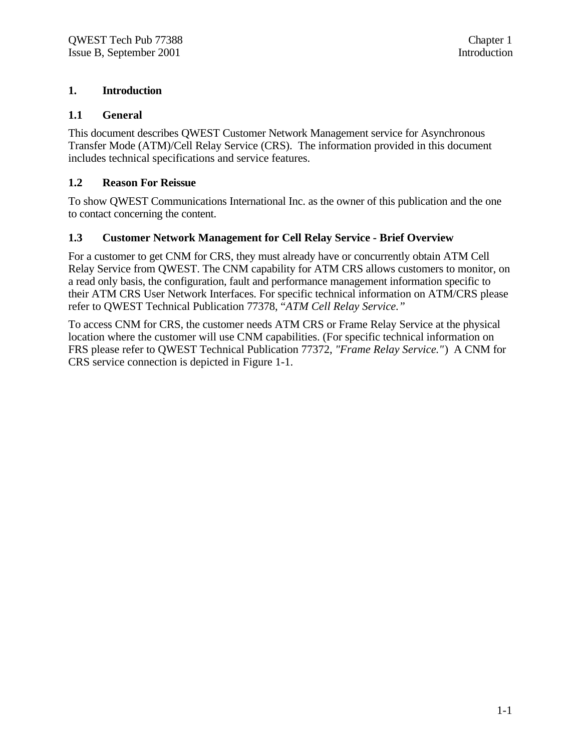### **1. Introduction**

### **1.1 General**

This document describes QWEST Customer Network Management service for Asynchronous Transfer Mode (ATM)/Cell Relay Service (CRS). The information provided in this document includes technical specifications and service features.

### **1.2 Reason For Reissue**

To show QWEST Communications International Inc. as the owner of this publication and the one to contact concerning the content.

#### **1.3 Customer Network Management for Cell Relay Service - Brief Overview**

For a customer to get CNM for CRS, they must already have or concurrently obtain ATM Cell Relay Service from QWEST. The CNM capability for ATM CRS allows customers to monitor, on a read only basis, the configuration, fault and performance management information specific to their ATM CRS User Network Interfaces. For specific technical information on ATM/CRS please refer to QWEST Technical Publication 77378, "*ATM Cell Relay Service."*

To access CNM for CRS, the customer needs ATM CRS or Frame Relay Service at the physical location where the customer will use CNM capabilities. (For specific technical information on FRS please refer to QWEST Technical Publication 77372, *"Frame Relay Service."*) A CNM for CRS service connection is depicted in Figure 1-1.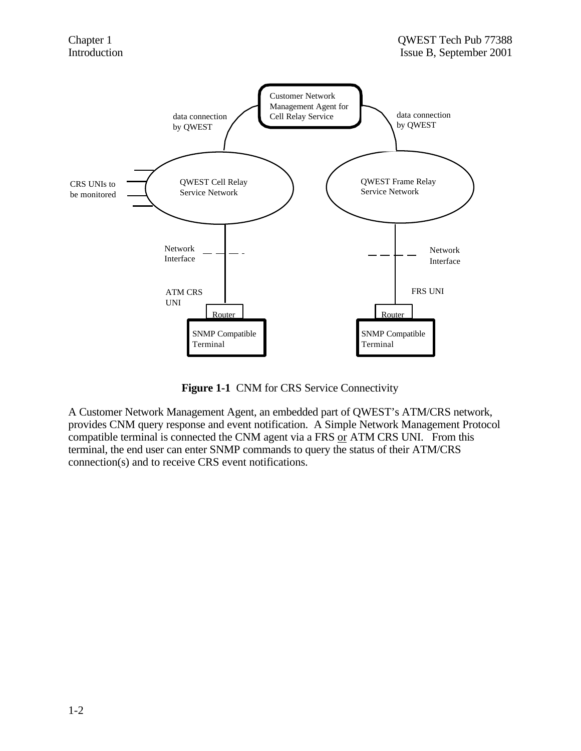

Figure 1-1 CNM for CRS Service Connectivity

A Customer Network Management Agent, an embedded part of QWEST's ATM/CRS network, provides CNM query response and event notification. A Simple Network Management Protocol compatible terminal is connected the CNM agent via a FRS or ATM CRS UNI. From this terminal, the end user can enter SNMP commands to query the status of their ATM/CRS connection(s) and to receive CRS event notifications.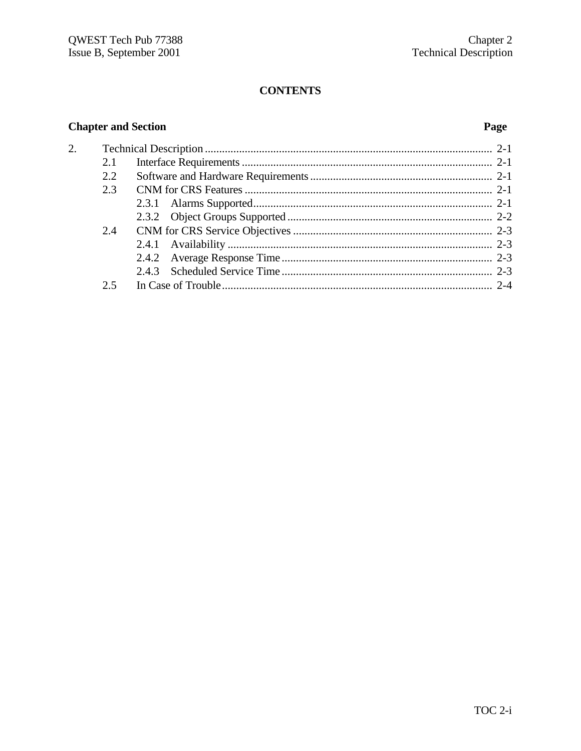# **Chapter and Section**

 $\overline{2}$ .

### Page

| 2.1 |  |
|-----|--|
| 2.2 |  |
| 2.3 |  |
|     |  |
|     |  |
| 2.4 |  |
|     |  |
|     |  |
|     |  |
| 2.5 |  |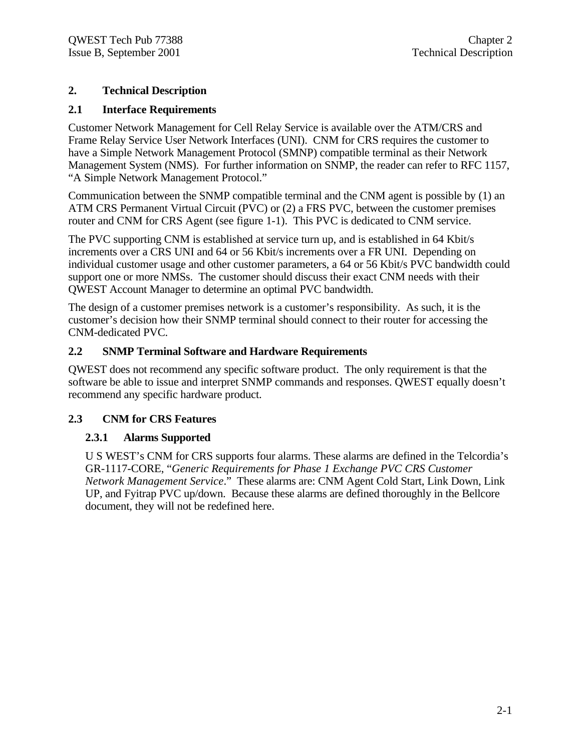#### **2. Technical Description**

#### **2.1 Interface Requirements**

Customer Network Management for Cell Relay Service is available over the ATM/CRS and Frame Relay Service User Network Interfaces (UNI). CNM for CRS requires the customer to have a Simple Network Management Protocol (SMNP) compatible terminal as their Network Management System (NMS). For further information on SNMP, the reader can refer to RFC 1157, "A Simple Network Management Protocol."

Communication between the SNMP compatible terminal and the CNM agent is possible by (1) an ATM CRS Permanent Virtual Circuit (PVC) or (2) a FRS PVC, between the customer premises router and CNM for CRS Agent (see figure 1-1). This PVC is dedicated to CNM service.

The PVC supporting CNM is established at service turn up, and is established in 64 Kbit/s increments over a CRS UNI and 64 or 56 Kbit/s increments over a FR UNI. Depending on individual customer usage and other customer parameters, a 64 or 56 Kbit/s PVC bandwidth could support one or more NMSs. The customer should discuss their exact CNM needs with their QWEST Account Manager to determine an optimal PVC bandwidth.

The design of a customer premises network is a customer's responsibility. As such, it is the customer's decision how their SNMP terminal should connect to their router for accessing the CNM-dedicated PVC.

#### **2.2 SNMP Terminal Software and Hardware Requirements**

QWEST does not recommend any specific software product. The only requirement is that the software be able to issue and interpret SNMP commands and responses. QWEST equally doesn't recommend any specific hardware product.

#### **2.3 CNM for CRS Features**

#### **2.3.1 Alarms Supported**

U S WEST's CNM for CRS supports four alarms. These alarms are defined in the Telcordia's GR-1117-CORE, "*Generic Requirements for Phase 1 Exchange PVC CRS Customer Network Management Service*." These alarms are: CNM Agent Cold Start, Link Down, Link UP, and Fyitrap PVC up/down. Because these alarms are defined thoroughly in the Bellcore document, they will not be redefined here.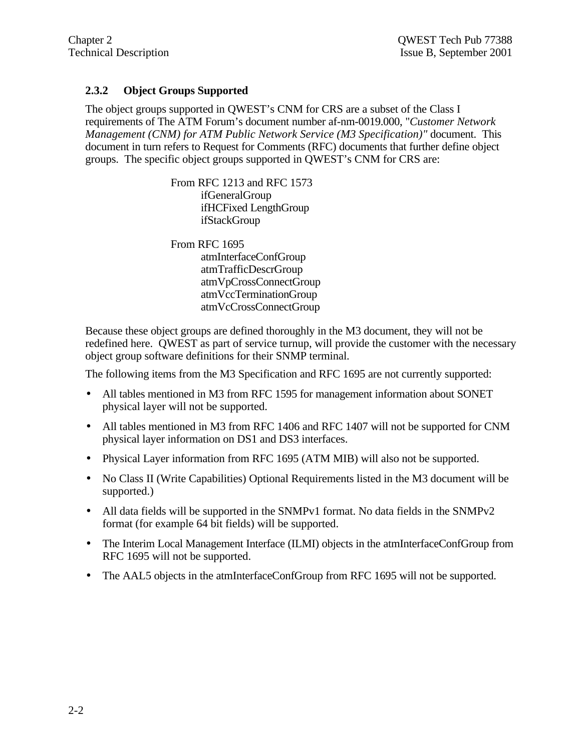### **2.3.2 Object Groups Supported**

The object groups supported in QWEST's CNM for CRS are a subset of the Class I requirements of The ATM Forum's document number af-nm-0019.000, "*Customer Network Management (CNM) for ATM Public Network Service (M3 Specification)"* document. This document in turn refers to Request for Comments (RFC) documents that further define object groups. The specific object groups supported in QWEST's CNM for CRS are:

> From RFC 1213 and RFC 1573 ifGeneralGroup ifHCFixed LengthGroup ifStackGroup

From RFC 1695 atmInterfaceConfGroup atmTrafficDescrGroup atmVpCrossConnectGroup atmVccTerminationGroup atmVcCrossConnectGroup

Because these object groups are defined thoroughly in the M3 document, they will not be redefined here. QWEST as part of service turnup, will provide the customer with the necessary object group software definitions for their SNMP terminal.

The following items from the M3 Specification and RFC 1695 are not currently supported:

- All tables mentioned in M3 from RFC 1595 for management information about SONET physical layer will not be supported.
- All tables mentioned in M3 from RFC 1406 and RFC 1407 will not be supported for CNM physical layer information on DS1 and DS3 interfaces.
- Physical Layer information from RFC 1695 (ATM MIB) will also not be supported.
- No Class II (Write Capabilities) Optional Requirements listed in the M3 document will be supported.)
- All data fields will be supported in the SNMPv1 format. No data fields in the SNMPv2 format (for example 64 bit fields) will be supported.
- The Interim Local Management Interface (ILMI) objects in the atmInterfaceConfGroup from RFC 1695 will not be supported.
- The AAL5 objects in the atmInterfaceConfGroup from RFC 1695 will not be supported.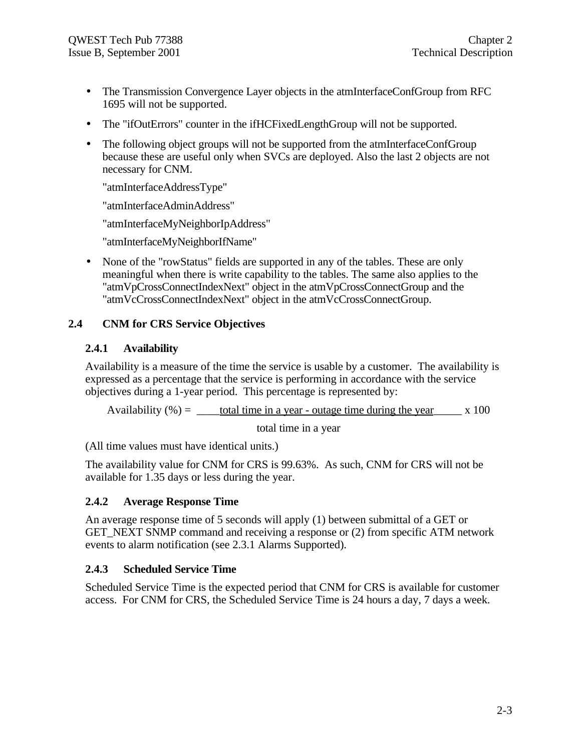- The Transmission Convergence Layer objects in the atmInterfaceConfGroup from RFC 1695 will not be supported.
- The "ifOutErrors" counter in the ifHCFixedLengthGroup will not be supported.
- The following object groups will not be supported from the atmInterfaceConfGroup because these are useful only when SVCs are deployed. Also the last 2 objects are not necessary for CNM.

"atmInterfaceAddressType"

"atmInterfaceAdminAddress"

"atmInterfaceMyNeighborIpAddress"

"atmInterfaceMyNeighborIfName"

• None of the "rowStatus" fields are supported in any of the tables. These are only meaningful when there is write capability to the tables. The same also applies to the "atmVpCrossConnectIndexNext" object in the atmVpCrossConnectGroup and the "atmVcCrossConnectIndexNext" object in the atmVcCrossConnectGroup.

#### **2.4 CNM for CRS Service Objectives**

#### **2.4.1 Availability**

Availability is a measure of the time the service is usable by a customer. The availability is expressed as a percentage that the service is performing in accordance with the service objectives during a 1-year period. This percentage is represented by:

Availability  $% =$  \_\_\_\_total time in a year - outage time during the year x 100

total time in a year

(All time values must have identical units.)

The availability value for CNM for CRS is 99.63%. As such, CNM for CRS will not be available for 1.35 days or less during the year.

#### **2.4.2 Average Response Time**

An average response time of 5 seconds will apply (1) between submittal of a GET or GET\_NEXT SNMP command and receiving a response or (2) from specific ATM network events to alarm notification (see 2.3.1 Alarms Supported).

#### **2.4.3 Scheduled Service Time**

Scheduled Service Time is the expected period that CNM for CRS is available for customer access. For CNM for CRS, the Scheduled Service Time is 24 hours a day, 7 days a week.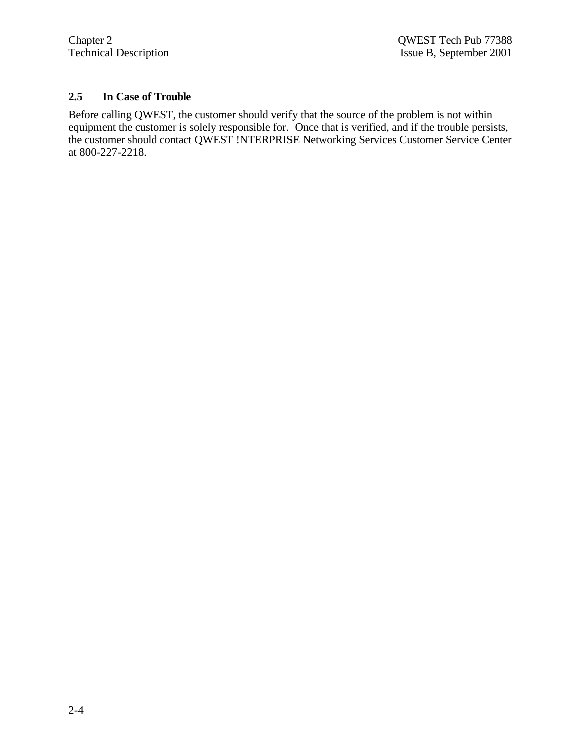## **2.5 In Case of Trouble**

Before calling QWEST, the customer should verify that the source of the problem is not within equipment the customer is solely responsible for. Once that is verified, and if the trouble persists, the customer should contact QWEST !NTERPRISE Networking Services Customer Service Center at 800-227-2218.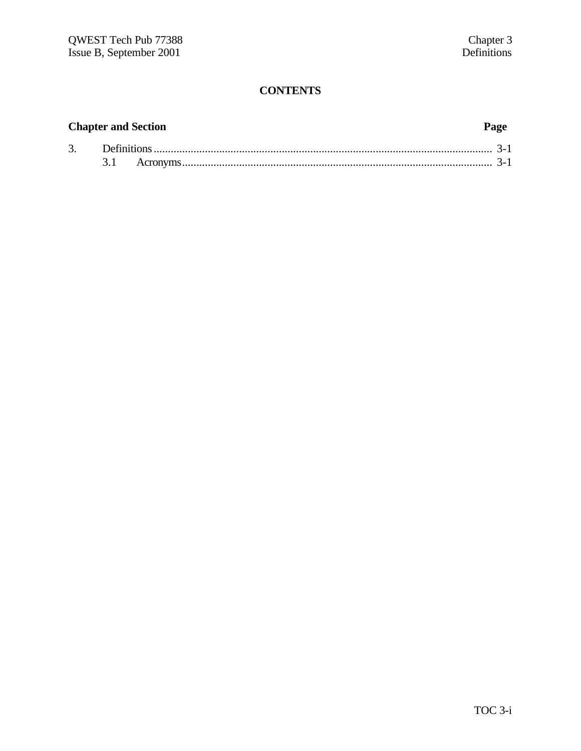# **Chapter and Section Page**

| Ć. |  |  |
|----|--|--|
|    |  |  |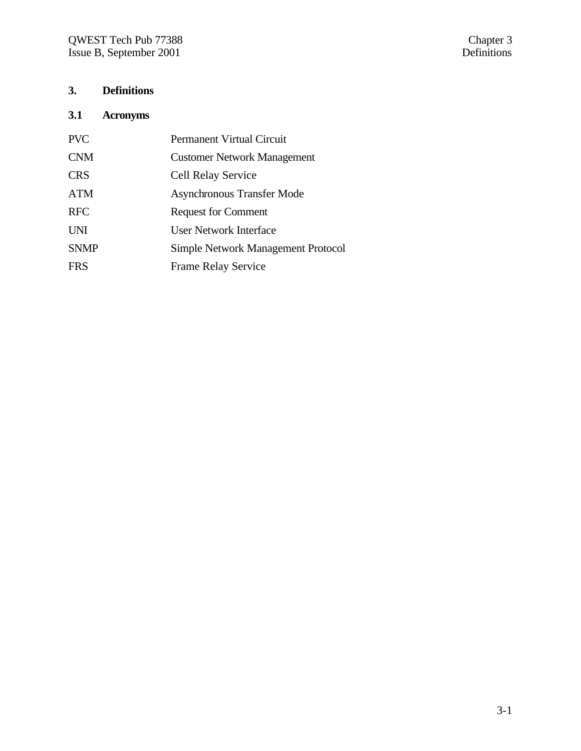# **3. Definitions**

# **3.1 Acronyms**

| <b>Permanent Virtual Circuit</b>          |
|-------------------------------------------|
|                                           |
| <b>Customer Network Management</b>        |
| <b>Cell Relay Service</b>                 |
| <b>Asynchronous Transfer Mode</b>         |
| <b>Request for Comment</b>                |
| User Network Interface                    |
| <b>Simple Network Management Protocol</b> |
| <b>Frame Relay Service</b>                |
|                                           |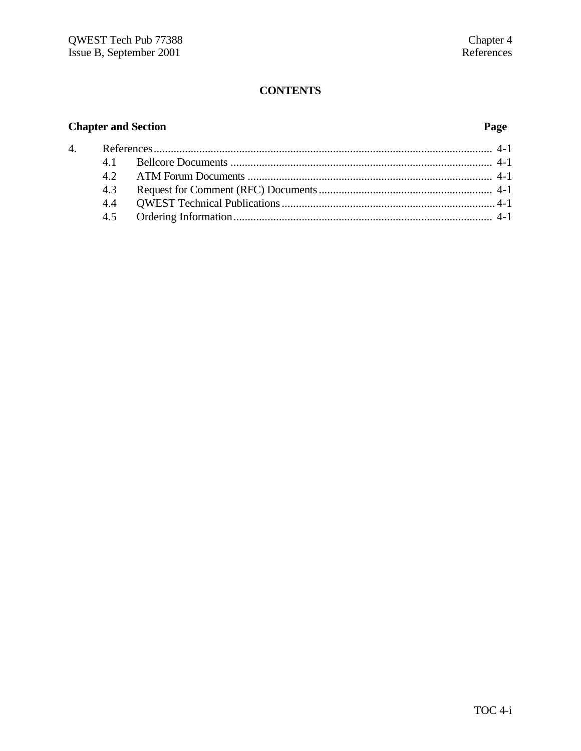# **Chapter and Section**

# Page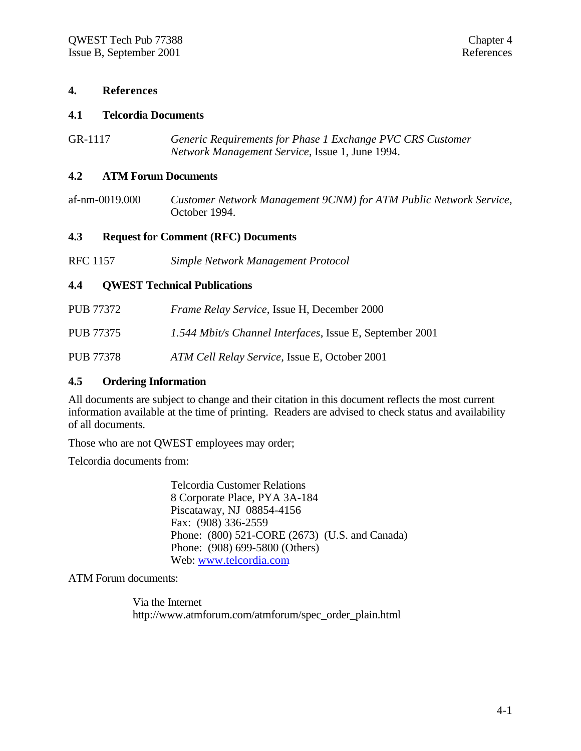#### **4. References**

#### **4.1 Telcordia Documents**

GR-1117 *Generic Requirements for Phase 1 Exchange PVC CRS Customer Network Management Service*, Issue 1, June 1994.

#### **4.2 ATM Forum Documents**

af-nm-0019.000 *Customer Network Management 9CNM) for ATM Public Network Service*, October 1994.

#### **4.3 Request for Comment (RFC) Documents**

RFC 1157 *Simple Network Management Protocol*

#### **4.4 QWEST Technical Publications**

| PUB 77372        | <i>Frame Relay Service, Issue H, December 2000</i>       |
|------------------|----------------------------------------------------------|
| PUB 77375        | 1.544 Mbit/s Channel Interfaces, Issue E, September 2001 |
| <b>PUB 77378</b> | ATM Cell Relay Service, Issue E, October 2001            |

#### **4.5 Ordering Information**

All documents are subject to change and their citation in this document reflects the most current information available at the time of printing. Readers are advised to check status and availability of all documents.

Those who are not QWEST employees may order;

Telcordia documents from:

Telcordia Customer Relations 8 Corporate Place, PYA 3A-184 Piscataway, NJ 08854-4156 Fax: (908) 336-2559 Phone: (800) 521-CORE (2673) (U.S. and Canada) Phone: (908) 699-5800 (Others) Web: www.telcordia.com

ATM Forum documents:

Via the Internet http://www.atmforum.com/atmforum/spec\_order\_plain.html